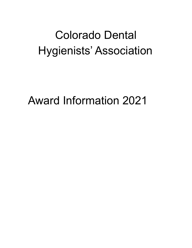# Colorado Dental Hygienists' Association

Award Information 2021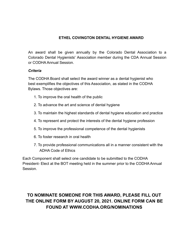## **ETHEL COVINGTON DENTAL HYGIENE AWARD**

An award shall be given annually by the Colorado Dental Association to a Colorado Dental Hygienists' Association member during the CDA Annual Session or CODHA Annual Session.

#### *Criteria*

The CODHA Board shall select the award winner as a dental hygienist who best exemplifies the objectives of this Association, as stated in the CODHA Bylaws. Those objectives are:

- 1. To improve the oral health of the public
- 2. To advance the art and science of dental hygiene
- 3. To maintain the highest standards of dental hygiene education and practice
- 4. To represent and protect the interests of the dental hygiene profession
- 5. To improve the professional competence of the dental hygienists
- 6. To foster research in oral health
- 7. To provide professional communications all in a manner consistent with the ADHA Code of Ethics

Each Component shall select one candidate to be submitted to the CODHA President- Elect at the BOT meeting held in the summer prior to the CODHA Annual Session.

# **TO NOMINATE SOMEONE FOR THIS AWARD, PLEASE FILL OUT THE ONLINE FORM BY AUGUST 20, 2021. ONLINE FORM CAN BE FOUND AT WWW.CODHA.ORG/NOMINATIONS**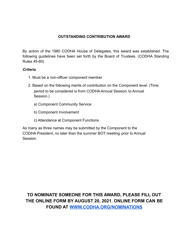# **OUTSTANDING CONTRIBUTION AWARD**

By action of the 1980 CODHA House of Delegates, this award was established. The following guidelines have been set forth by the Board of Trustees. (CODHA Standing Rules 45-80)

#### *Criteria*

- 1. Must be a non-officer component member
- 2. Based on the following merits of contribution on the Component level. (Time period to be considered is from CODHA Annual Session to Annual Session.)
	- a) Component Community Service
	- b) Component Involvement
	- c) Attendance at Component Functions

As many as three names may be submitted by the Component to the CODHA President, no later than the summer BOT meeting prior to Annual Session.

**TO NOMINATE SOMEONE FOR THIS AWARD, PLEASE FILL OUT THE ONLINE FORM BY AUGUST 20, 2021. ONLINE FORM CAN BE FOUND AT [WWW.CODHA.ORG/NOMINATIONS](http://www.codha.org/NOMINATIONS)**